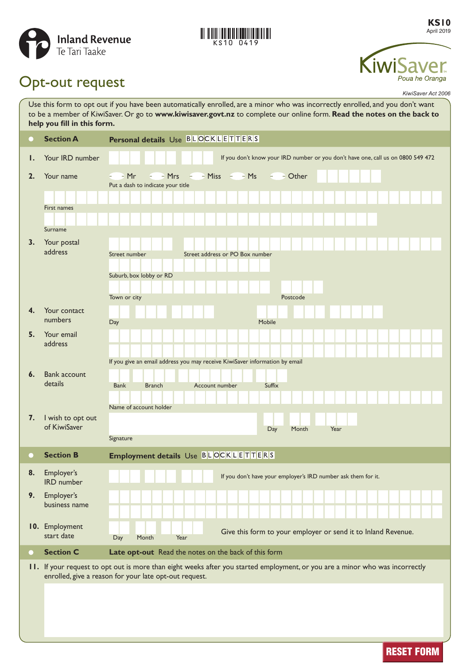

# **KS10 0419**

**KS10** April 2019



# Opt-out request

*KiwiSaver Act 2006*

| Use this form to opt out if you have been automatically enrolled, are a minor who was incorrectly enrolled, and you don't want<br>to be a member of KiwiSaver. Or go to www.kiwisaver.govt.nz to complete our online form. Read the notes on the back to<br>help you fill in this form. |                                     |                                                                                                                                                                                        |
|-----------------------------------------------------------------------------------------------------------------------------------------------------------------------------------------------------------------------------------------------------------------------------------------|-------------------------------------|----------------------------------------------------------------------------------------------------------------------------------------------------------------------------------------|
|                                                                                                                                                                                                                                                                                         | <b>Section A</b>                    | Personal details Use BLOCKLETTERS                                                                                                                                                      |
| Ι.                                                                                                                                                                                                                                                                                      | Your IRD number                     | If you don't know your IRD number or you don't have one, call us on 0800 549 472                                                                                                       |
| 2.                                                                                                                                                                                                                                                                                      | Your name<br>First names<br>Surname | $-$ - Miss $-$ - Ms<br>$=$ $-Mrs$<br>$ -Mr$<br>$  -$ Other<br>Put a dash to indicate your title                                                                                        |
| 3.                                                                                                                                                                                                                                                                                      | Your postal<br>address              | Street address or PO Box number<br>Street number<br>Suburb, box lobby or RD<br>Town or city<br>Postcode                                                                                |
| 4.                                                                                                                                                                                                                                                                                      | Your contact<br>numbers             | Mobile<br>Day                                                                                                                                                                          |
| 5.                                                                                                                                                                                                                                                                                      | Your email<br>address               | If you give an email address you may receive KiwiSaver information by email                                                                                                            |
| 6.                                                                                                                                                                                                                                                                                      | <b>Bank account</b><br>details      | <b>Bank</b><br><b>Branch</b><br>Account number<br>Suffix<br>Name of account holder                                                                                                     |
| 7.                                                                                                                                                                                                                                                                                      | I wish to opt out<br>of KiwiSaver   | Day<br>Month<br>Year<br>Signature                                                                                                                                                      |
| <b>CONTRACTOR</b>                                                                                                                                                                                                                                                                       | <b>Section B</b>                    | Employment details Use BLOCKLETTERS                                                                                                                                                    |
| 8.                                                                                                                                                                                                                                                                                      | Employer's<br>IRD number            | If you don't have your employer's IRD number ask them for it.                                                                                                                          |
| 9.                                                                                                                                                                                                                                                                                      | Employer's<br>business name         |                                                                                                                                                                                        |
|                                                                                                                                                                                                                                                                                         | 10. Employment<br>start date        | Give this form to your employer or send it to Inland Revenue.<br>Day<br>Month<br>Year                                                                                                  |
| $\scriptstyle\bullet$                                                                                                                                                                                                                                                                   | <b>Section C</b>                    | Late opt-out Read the notes on the back of this form                                                                                                                                   |
|                                                                                                                                                                                                                                                                                         |                                     | II. If your request to opt out is more than eight weeks after you started employment, or you are a minor who was incorrectly<br>enrolled, give a reason for your late opt-out request. |